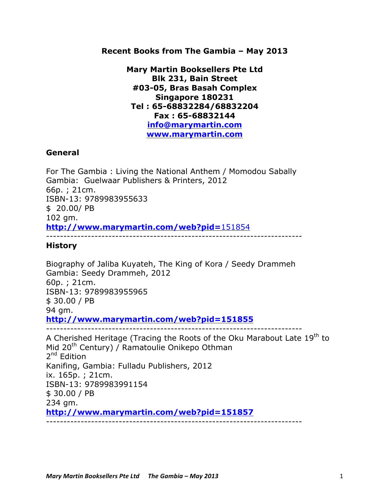**Recent Books from The Gambia – May 2013**

**Mary Martin Booksellers Pte Ltd Blk 231, Bain Street #03-05, Bras Basah Complex Singapore 180231 Tel : 65-68832284/68832204 Fax : 65-68832144 info@marymartin.com www.marymartin.com**

# **General**

For The Gambia : Living the National Anthem / Momodou Sabally Gambia: Guelwaar Publishers & Printers, 2012 66p. ; 21cm. ISBN-13: 9789983955633 \$ 20.00/ PB 102 gm. **http://www.marymartin.com/web?pid=**151854 --------------------------------------------------------------------------

# **History**

Biography of Jaliba Kuyateh, The King of Kora / Seedy Drammeh Gambia: Seedy Drammeh, 2012 60p. ; 21cm. ISBN-13: 9789983955965 \$ 30.00 / PB 94 gm. **http://www.marymartin.com/web?pid=151855** --------------------------------------------------------------------------

A Cherished Heritage (Tracing the Roots of the Oku Marabout Late  $19<sup>th</sup>$  to Mid 20<sup>th</sup> Century) / Ramatoulie Onikepo Othman 2<sup>nd</sup> Edition Kanifing, Gambia: Fulladu Publishers, 2012 ix. 165p. ; 21cm. ISBN-13: 9789983991154 \$ 30.00 / PB 234 gm. **http://www.marymartin.com/web?pid=151857**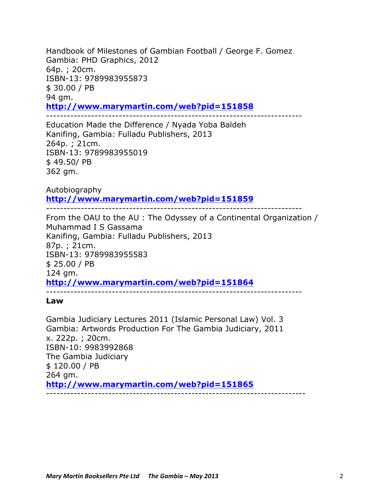Handbook of Milestones of Gambian Football / George F. Gomez Gambia: PHD Graphics, 2012 64p. ; 20cm. ISBN-13: 9789983955873 \$ 30.00 / PB 94 gm. **http://www.marymartin.com/web?pid=151858**

--------------------------------------------------------------------------

Education Made the Difference / Nyada Yoba Baldeh Kanifing, Gambia: Fulladu Publishers, 2013 264p. ; 21cm. ISBN-13: 9789983955019 \$ 49.50/ PB 362 gm.

Autobiography **http://www.marymartin.com/web?pid=151859** --------------------------------------------------------------------------

From the OAU to the AU : The Odyssey of a Continental Organization / Muhammad I S Gassama Kanifing, Gambia: Fulladu Publishers, 2013 87p. ; 21cm. ISBN-13: 9789983955583 \$ 25.00 / PB 124 gm. **http://www.marymartin.com/web?pid=151864** --------------------------------------------------------------------------

**Law**

Gambia Judiciary Lectures 2011 (Islamic Personal Law) Vol. 3 Gambia: Artwords Production For The Gambia Judiciary, 2011 x. 222p. ; 20cm. ISBN-10: 9983992868 The Gambia Judiciary \$ 120.00 / PB 264 gm. **http://www.marymartin.com/web?pid=151865** ---------------------------------------------------------------------------

# *Mary Martin Booksellers Pte Ltd The Gambia – May 2013* 2014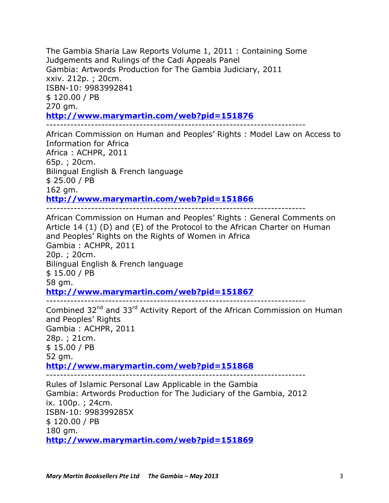The Gambia Sharia Law Reports Volume 1, 2011 : Containing Some Judgements and Rulings of the Cadi Appeals Panel Gambia: Artwords Production for The Gambia Judiciary, 2011 xxiv. 212p. ; 20cm. ISBN-10: 9983992841 \$ 120.00 / PB 270 gm. **http://www.marymartin.com/web?pid=151876** ---------------------------------------------------------------------------

African Commission on Human and Peoples' Rights : Model Law on Access to Information for Africa Africa : ACHPR, 2011 65p. ; 20cm. Bilingual English & French language \$ 25.00 / PB 162 gm. **http://www.marymartin.com/web?pid=151866**

---------------------------------------------------------------------------

African Commission on Human and Peoples' Rights : General Comments on Article 14 (1) (D) and (E) of the Protocol to the African Charter on Human and Peoples' Rights on the Rights of Women in Africa Gambia : ACHPR, 2011 20p. ; 20cm. Bilingual English & French language \$ 15.00 / PB 58 gm. **http://www.marymartin.com/web?pid=151867** --------------------------------------------------------------------------- Combined 32<sup>nd</sup> and 33<sup>rd</sup> Activity Report of the African Commission on Human and Peoples' Rights Gambia : ACHPR, 2011 28p. ; 21cm. \$ 15.00 / PB 52 gm.

**http://www.marymartin.com/web?pid=151868**

---------------------------------------------------------------------------

Rules of Islamic Personal Law Applicable in the Gambia Gambia: Artwords Production for The Judiciary of the Gambia, 2012 ix. 100p. ; 24cm. ISBN-10: 998399285X \$ 120.00 / PB 180 gm. **http://www.marymartin.com/web?pid=151869**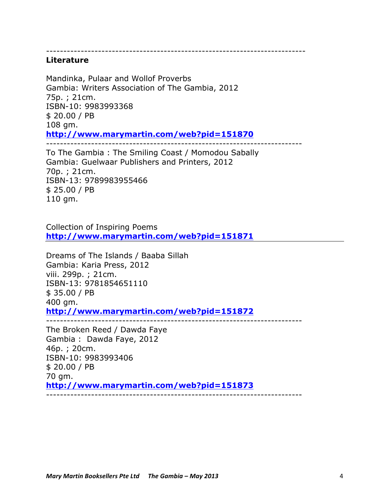---------------------------------------------------------------------------

#### **Literature**

Mandinka, Pulaar and Wollof Proverbs Gambia: Writers Association of The Gambia, 2012 75p. ; 21cm. ISBN-10: 9983993368 \$ 20.00 / PB 108 gm. **http://www.marymartin.com/web?pid=151870** --------------------------------------------------------------------------

To The Gambia : The Smiling Coast / Momodou Sabally Gambia: Guelwaar Publishers and Printers, 2012 70p. ; 21cm. ISBN-13: 9789983955466 \$ 25.00 / PB 110 gm.

Collection of Inspiring Poems **http://www.marymartin.com/web?pid=151871**

Dreams of The Islands / Baaba Sillah Gambia: Karia Press, 2012 viii. 299p. ; 21cm. ISBN-13: 9781854651110 \$ 35.00 / PB 400 gm. **http://www.marymartin.com/web?pid=151872** --------------------------------------------------------------------------

The Broken Reed / Dawda Faye Gambia : Dawda Faye, 2012 46p. ; 20cm. ISBN-10: 9983993406 \$ 20.00 / PB 70 gm. **http://www.marymartin.com/web?pid=151873** --------------------------------------------------------------------------